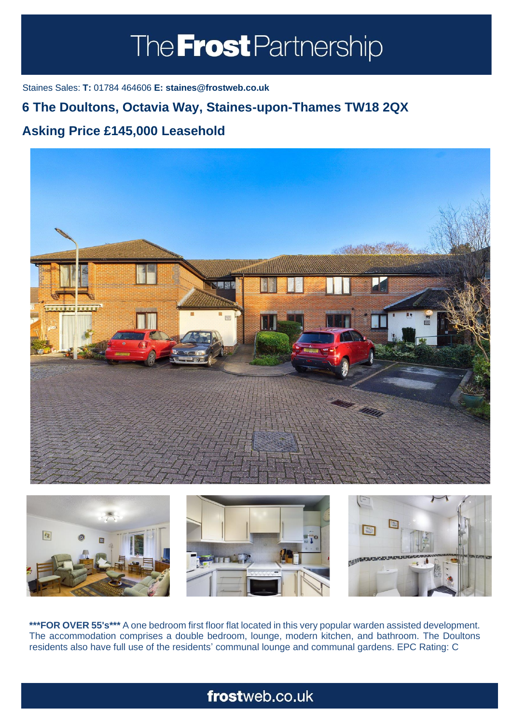# The **Frost** Partnership

Staines Sales: **T:** 01784 464606 **E: staines@frostweb.co.uk**

### **6 The Doultons, Octavia Way, Staines-upon-Thames TW18 2QX**

### **Asking Price £145,000 Leasehold (Property.Lettings.RentQual == "PA" ? "Rent on application" : PROPERTY.PROPERTY.REDGE.RENTUIT**





**\*\*\*FOR OVER 55's\*\*\*** A one bedroom first floor flat located in this very popular warden assisted development. The accommodation comprises a double bedroom, lounge, modern kitchen, and bathroom. The Doultons residents also have full use of the residents' communal lounge and communal gardens. EPC Rating: C

## frostweb.co.uk